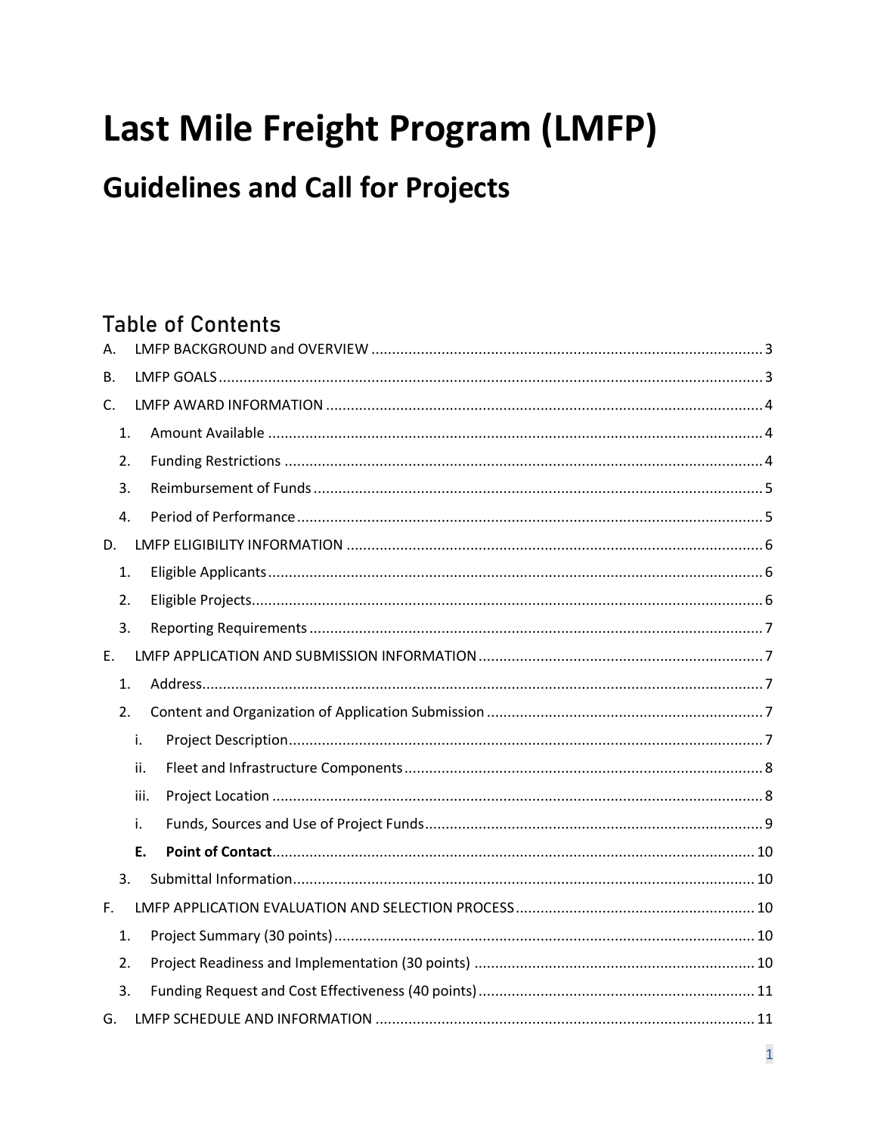# Last Mile Freight Program (LMFP)

# **Guidelines and Call for Projects**

# **Table of Contents**

| Α. |      |  |
|----|------|--|
| В. |      |  |
| C. |      |  |
| 1. |      |  |
| 2. |      |  |
| 3. |      |  |
| 4. |      |  |
| D. |      |  |
| 1. |      |  |
| 2. |      |  |
| 3. |      |  |
| Ε. |      |  |
| 1. |      |  |
| 2. |      |  |
|    | i.   |  |
|    | ii.  |  |
|    | iii. |  |
|    | i.   |  |
|    | Ε.   |  |
| 3. |      |  |
| F. |      |  |
| 1. |      |  |
| 2. |      |  |
| 3. |      |  |
| G. |      |  |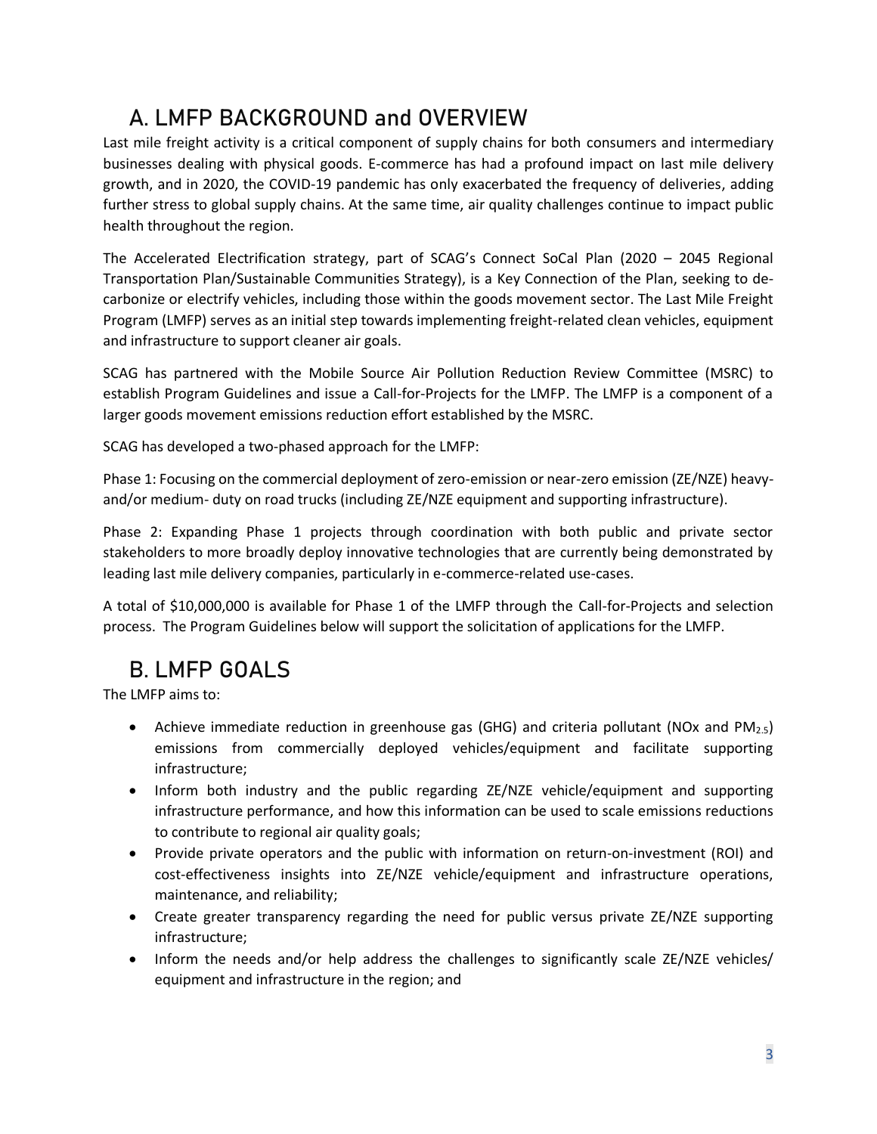# <span id="page-2-0"></span>**A. LMFP BACKGROUND and OVERVIEW**

Last mile freight activity is a critical component of supply chains for both consumers and intermediary businesses dealing with physical goods. E-commerce has had a profound impact on last mile delivery growth, and in 2020, the COVID-19 pandemic has only exacerbated the frequency of deliveries, adding further stress to global supply chains. At the same time, air quality challenges continue to impact public health throughout the region.

The Accelerated Electrification strategy, part of SCAG's Connect SoCal Plan (2020 – 2045 Regional Transportation Plan/Sustainable Communities Strategy), is a Key Connection of the Plan, seeking to decarbonize or electrify vehicles, including those within the goods movement sector. The Last Mile Freight Program (LMFP) serves as an initial step towards implementing freight-related clean vehicles, equipment and infrastructure to support cleaner air goals.

SCAG has partnered with the Mobile Source Air Pollution Reduction Review Committee (MSRC) to establish Program Guidelines and issue a Call-for-Projects for the LMFP. The LMFP is a component of a larger goods movement emissions reduction effort established by the MSRC.

SCAG has developed a two-phased approach for the LMFP:

Phase 1: Focusing on the commercial deployment of zero-emission or near-zero emission (ZE/NZE) heavyand/or medium- duty on road trucks (including ZE/NZE equipment and supporting infrastructure).

Phase 2: Expanding Phase 1 projects through coordination with both public and private sector stakeholders to more broadly deploy innovative technologies that are currently being demonstrated by leading last mile delivery companies, particularly in e-commerce-related use-cases.

A total of \$10,000,000 is available for Phase 1 of the LMFP through the Call-for-Projects and selection process. The Program Guidelines below will support the solicitation of applications for the LMFP.

# <span id="page-2-1"></span>**B. LMFP GOALS**

The LMFP aims to:

- Achieve immediate reduction in greenhouse gas (GHG) and criteria pollutant (NOx and  $PM_{2.5}$ ) emissions from commercially deployed vehicles/equipment and facilitate supporting infrastructure;
- Inform both industry and the public regarding ZE/NZE vehicle/equipment and supporting infrastructure performance, and how this information can be used to scale emissions reductions to contribute to regional air quality goals;
- Provide private operators and the public with information on return-on-investment (ROI) and cost-effectiveness insights into ZE/NZE vehicle/equipment and infrastructure operations, maintenance, and reliability;
- Create greater transparency regarding the need for public versus private ZE/NZE supporting infrastructure;
- Inform the needs and/or help address the challenges to significantly scale ZE/NZE vehicles/ equipment and infrastructure in the region; and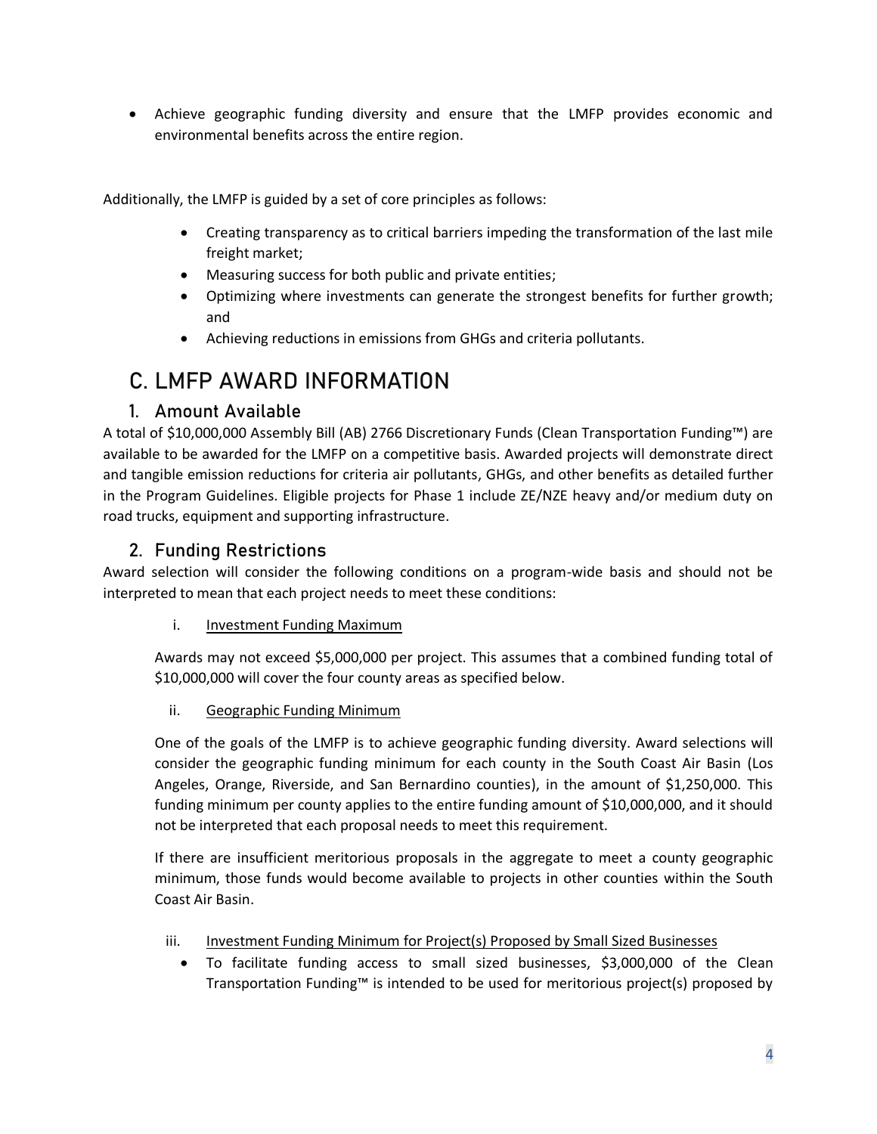• Achieve geographic funding diversity and ensure that the LMFP provides economic and environmental benefits across the entire region.

Additionally, the LMFP is guided by a set of core principles as follows:

- Creating transparency as to critical barriers impeding the transformation of the last mile freight market;
- Measuring success for both public and private entities;
- Optimizing where investments can generate the strongest benefits for further growth; and
- Achieving reductions in emissions from GHGs and criteria pollutants.

# <span id="page-3-0"></span>**C. LMFP AWARD INFORMATION**

#### **1. Amount Available**

<span id="page-3-1"></span>A total of \$10,000,000 Assembly Bill (AB) 2766 Discretionary Funds (Clean Transportation Funding™) are available to be awarded for the LMFP on a competitive basis. Awarded projects will demonstrate direct and tangible emission reductions for criteria air pollutants, GHGs, and other benefits as detailed further in the Program Guidelines. Eligible projects for Phase 1 include ZE/NZE heavy and/or medium duty on road trucks, equipment and supporting infrastructure.

### **2. Funding Restrictions**

<span id="page-3-2"></span>Award selection will consider the following conditions on a program-wide basis and should not be interpreted to mean that each project needs to meet these conditions:

i. **Investment Funding Maximum** 

Awards may not exceed \$5,000,000 per project. This assumes that a combined funding total of \$10,000,000 will cover the four county areas as specified below.

ii. Geographic Funding Minimum

One of the goals of the LMFP is to achieve geographic funding diversity. Award selections will consider the geographic funding minimum for each county in the South Coast Air Basin (Los Angeles, Orange, Riverside, and San Bernardino counties), in the amount of \$1,250,000. This funding minimum per county applies to the entire funding amount of \$10,000,000, and it should not be interpreted that each proposal needs to meet this requirement.

If there are insufficient meritorious proposals in the aggregate to meet a county geographic minimum, those funds would become available to projects in other counties within the South Coast Air Basin.

- iii. Investment Funding Minimum for Project(s) Proposed by Small Sized Businesses
	- To facilitate funding access to small sized businesses, \$3,000,000 of the Clean Transportation Funding™ is intended to be used for meritorious project(s) proposed by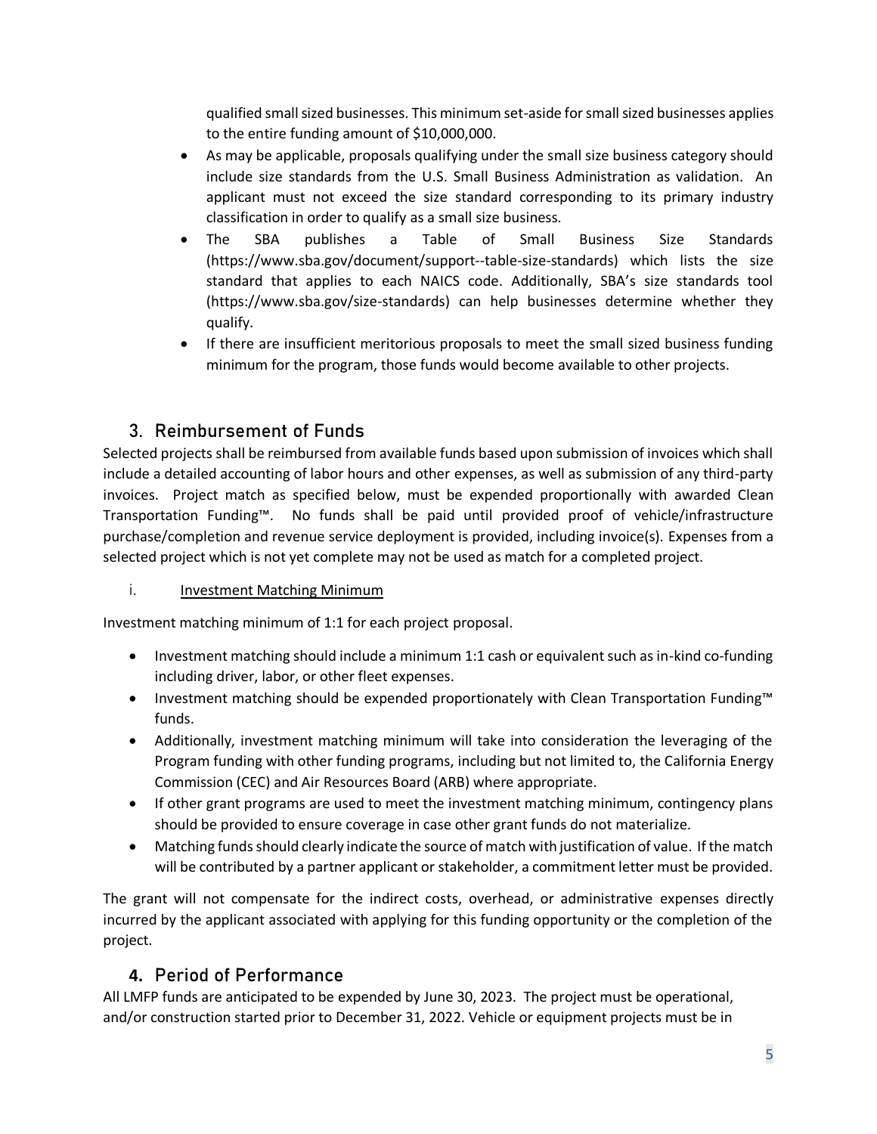qualified small sized businesses. This minimum set-aside for small sized businesses applies to the entire funding amount of \$10,000,000.

- As may be applicable, proposals qualifying under the small size business category should include size standards from the U.S. Small Business Administration as validation. An applicant must not exceed the size standard corresponding to its primary industry classification in order to qualify as a small size business.
- The SBA publishes a Table of Small Business Size Standards [\(https://www.sba.gov/document/support--table-size-standards\)](https://www.sba.gov/document/support--table-size-standards) which lists the size standard that applies to each NAICS code. Additionally, SBA's size standards tool [\(https://www.sba.gov/size-standards\)](https://www.sba.gov/size-standards) can help businesses determine whether they qualify.
- If there are insufficient meritorious proposals to meet the small sized business funding minimum for the program, those funds would become available to other projects.

### **3. Reimbursement of Funds**

<span id="page-4-0"></span>Selected projects shall be reimbursed from available funds based upon submission of invoices which shall include a detailed accounting of labor hours and other expenses, as well as submission of any third-party invoices. Project match as specified below, must be expended proportionally with awarded Clean Transportation Funding™. No funds shall be paid until provided proof of vehicle/infrastructure purchase/completion and revenue service deployment is provided, including invoice(s). Expenses from a selected project which is not yet complete may not be used as match for a completed project.

#### i. Investment Matching Minimum

Investment matching minimum of 1:1 for each project proposal.

- Investment matching should include a minimum 1:1 cash or equivalent such as in-kind co-funding including driver, labor, or other fleet expenses.
- Investment matching should be expended proportionately with Clean Transportation Funding™ funds.
- Additionally, investment matching minimum will take into consideration the leveraging of the Program funding with other funding programs, including but not limited to, the California Energy Commission (CEC) and Air Resources Board (ARB) where appropriate.
- If other grant programs are used to meet the investment matching minimum, contingency plans should be provided to ensure coverage in case other grant funds do not materialize.
- Matching funds should clearly indicate the source of match with justification of value. If the match will be contributed by a partner applicant or stakeholder, a commitment letter must be provided.

The grant will not compensate for the indirect costs, overhead, or administrative expenses directly incurred by the applicant associated with applying for this funding opportunity or the completion of the project.

#### **4. Period of Performance**

<span id="page-4-1"></span>All LMFP funds are anticipated to be expended by June 30, 2023. The project must be operational, and/or construction started prior to December 31, 2022. Vehicle or equipment projects must be in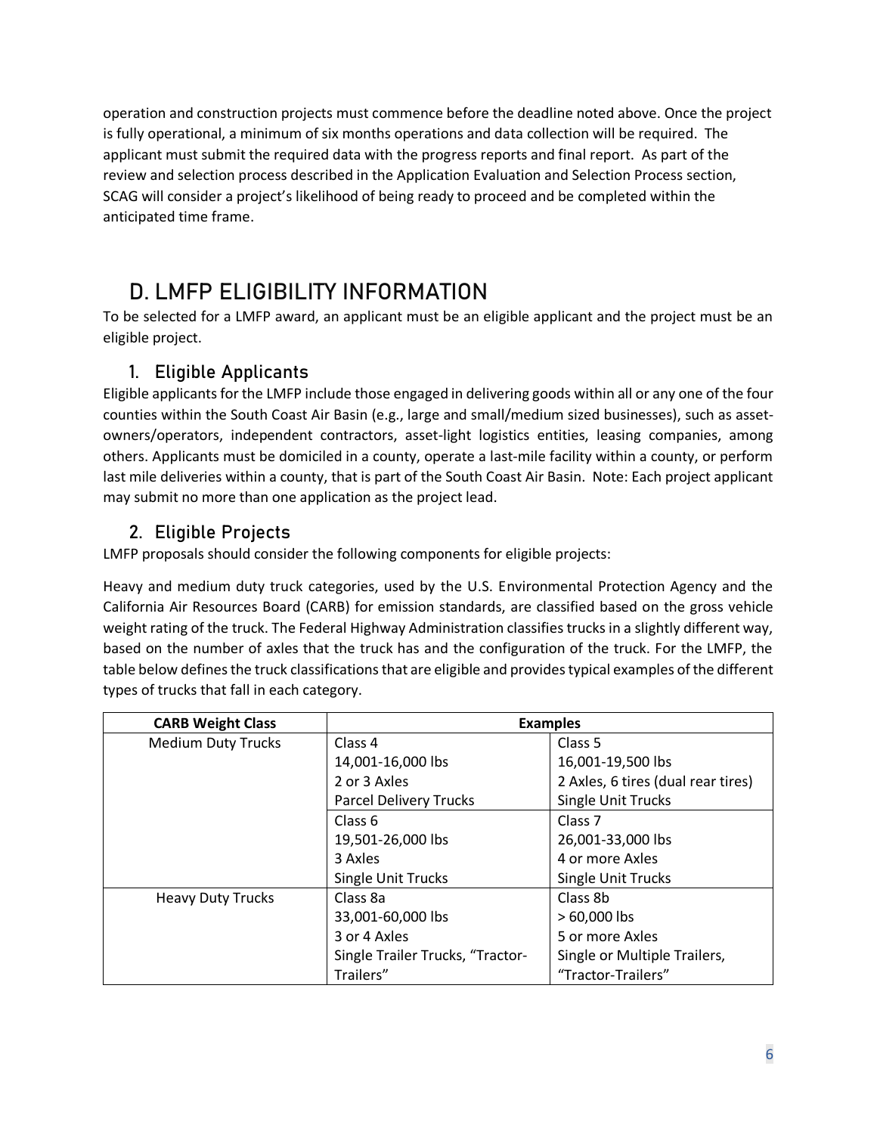operation and construction projects must commence before the deadline noted above. Once the project is fully operational, a minimum of six months operations and data collection will be required. The applicant must submit the required data with the progress reports and final report. As part of the review and selection process described in the Application Evaluation and Selection Process section, SCAG will consider a project's likelihood of being ready to proceed and be completed within the anticipated time frame.

# <span id="page-5-0"></span>**D. LMFP ELIGIBILITY INFORMATION**

To be selected for a LMFP award, an applicant must be an eligible applicant and the project must be an eligible project.

## **1. Eligible Applicants**

<span id="page-5-1"></span>Eligible applicants for the LMFP include those engaged in delivering goods within all or any one of the four counties within the South Coast Air Basin (e.g., large and small/medium sized businesses), such as assetowners/operators, independent contractors, asset-light logistics entities, leasing companies, among others. Applicants must be domiciled in a county, operate a last-mile facility within a county, or perform last mile deliveries within a county, that is part of the South Coast Air Basin. Note: Each project applicant may submit no more than one application as the project lead.

### **2. Eligible Projects**

<span id="page-5-2"></span>LMFP proposals should consider the following components for eligible projects:

Heavy and medium duty truck categories, used by the U.S. Environmental Protection Agency and the California Air Resources Board (CARB) for emission standards, are classified based on the gross vehicle weight rating of the truck. The Federal Highway Administration classifies trucks in a slightly different way, based on the number of axles that the truck has and the configuration of the truck. For the LMFP, the table below defines the truck classifications that are eligible and providestypical examples of the different types of trucks that fall in each category.

| <b>CARB Weight Class</b>  | <b>Examples</b>                  |                                    |
|---------------------------|----------------------------------|------------------------------------|
| <b>Medium Duty Trucks</b> | Class 4                          | Class 5                            |
|                           | 14,001-16,000 lbs                | 16,001-19,500 lbs                  |
|                           | 2 or 3 Axles                     | 2 Axles, 6 tires (dual rear tires) |
|                           | <b>Parcel Delivery Trucks</b>    | <b>Single Unit Trucks</b>          |
|                           | Class 6                          | Class <sub>7</sub>                 |
|                           | 19,501-26,000 lbs                | 26,001-33,000 lbs                  |
|                           | 3 Axles                          | 4 or more Axles                    |
|                           | <b>Single Unit Trucks</b>        | <b>Single Unit Trucks</b>          |
| <b>Heavy Duty Trucks</b>  | Class 8a                         | Class 8b                           |
|                           | 33,001-60,000 lbs                | > 60,000 lbs                       |
|                           | 3 or 4 Axles                     | 5 or more Axles                    |
|                           | Single Trailer Trucks, "Tractor- | Single or Multiple Trailers,       |
|                           | Trailers"                        | "Tractor-Trailers"                 |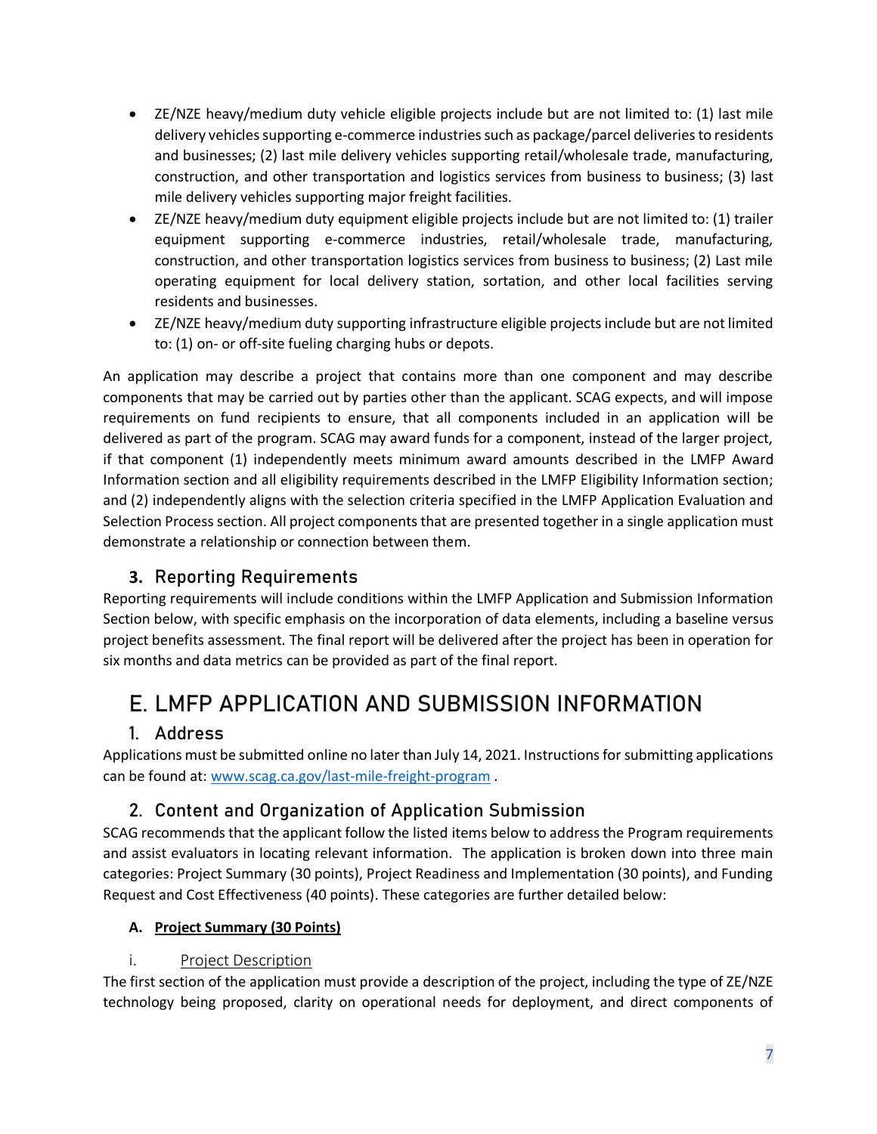- ZE/NZE heavy/medium duty vehicle eligible projects include but are not limited to: (1) last mile delivery vehicles supporting e-commerce industries such as package/parcel deliveries to residents and businesses; (2) last mile delivery vehicles supporting retail/wholesale trade, manufacturing, construction, and other transportation and logistics services from business to business; (3) last mile delivery vehicles supporting major freight facilities.
- ZE/NZE heavy/medium duty equipment eligible projects include but are not limited to: (1) trailer equipment supporting e-commerce industries, retail/wholesale trade, manufacturing, construction, and other transportation logistics services from business to business; (2) Last mile operating equipment for local delivery station, sortation, and other local facilities serving residents and businesses.
- ZE/NZE heavy/medium duty supporting infrastructure eligible projects include but are not limited to: (1) on- or off-site fueling charging hubs or depots.

An application may describe a project that contains more than one component and may describe components that may be carried out by parties other than the applicant. SCAG expects, and will impose requirements on fund recipients to ensure, that all components included in an application will be delivered as part of the program. SCAG may award funds for a component, instead of the larger project, if that component (1) independently meets minimum award amounts described in the LMFP Award Information section and all eligibility requirements described in the LMFP Eligibility Information section; and (2) independently aligns with the selection criteria specified in the LMFP Application Evaluation and Selection Process section. All project components that are presented together in a single application must demonstrate a relationship or connection between them.

### **3. Reporting Requirements**

<span id="page-6-0"></span>Reporting requirements will include conditions within the LMFP Application and Submission Information Section below, with specific emphasis on the incorporation of data elements, including a baseline versus project benefits assessment. The final report will be delivered after the project has been in operation for six months and data metrics can be provided as part of the final report.

# <span id="page-6-1"></span>**E. LMFP APPLICATION AND SUBMISSION INFORMATION**

### **1. Address**

<span id="page-6-2"></span>Applications must be submitted online no later than July 14, 2021. Instructions for submitting applications can be found at: [www.scag.ca.gov/last-mile-freight-program](http://www.scag.ca.gov/last-mile-freight-program) .

## **2. Content and Organization of Application Submission**

<span id="page-6-3"></span>SCAG recommends that the applicant follow the listed items below to address the Program requirements and assist evaluators in locating relevant information. The application is broken down into three main categories: Project Summary (30 points), Project Readiness and Implementation (30 points), and Funding Request and Cost Effectiveness (40 points). These categories are further detailed below:

#### **A. Project Summary (30 Points)**

### i. Project Description

<span id="page-6-4"></span>The first section of the application must provide a description of the project, including the type of ZE/NZE technology being proposed, clarity on operational needs for deployment, and direct components of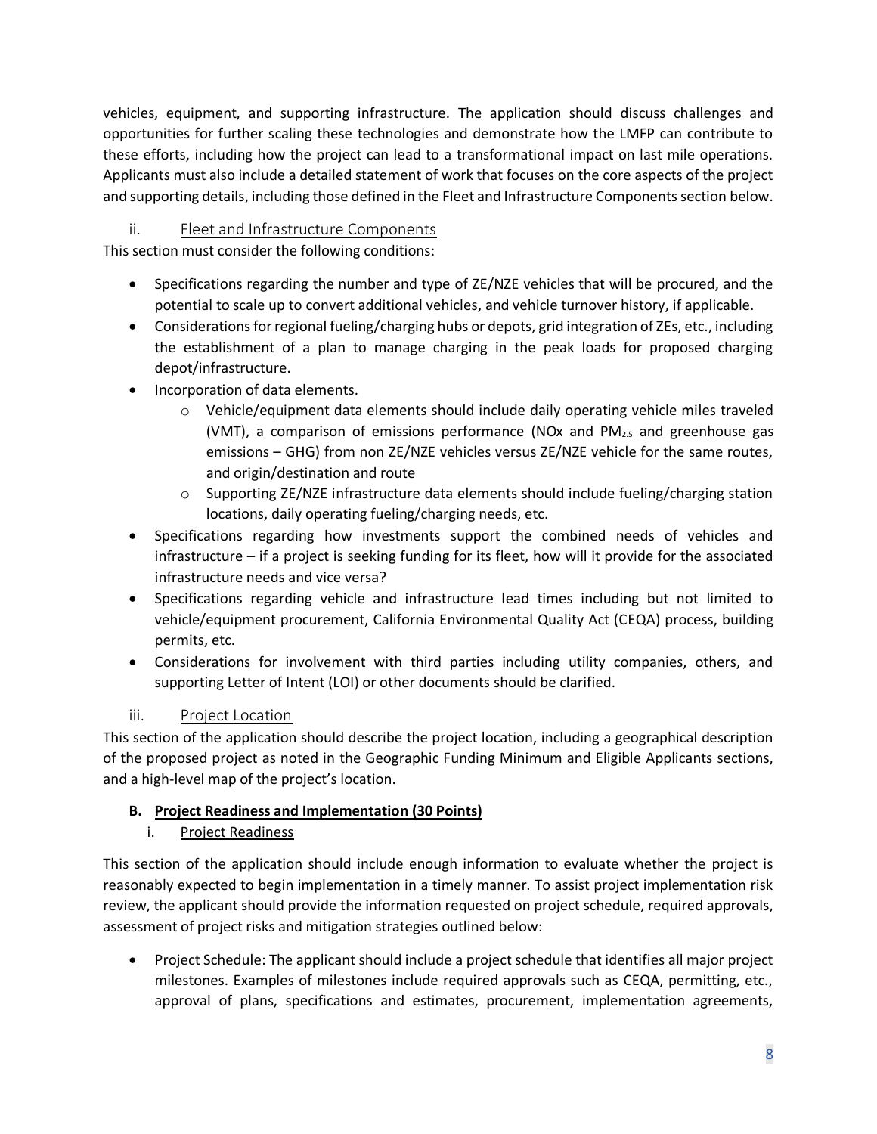vehicles, equipment, and supporting infrastructure. The application should discuss challenges and opportunities for further scaling these technologies and demonstrate how the LMFP can contribute to these efforts, including how the project can lead to a transformational impact on last mile operations. Applicants must also include a detailed statement of work that focuses on the core aspects of the project and supporting details, including those defined in the Fleet and Infrastructure Components section below.

#### <span id="page-7-0"></span>ii. Fleet and Infrastructure Components

This section must consider the following conditions:

- Specifications regarding the number and type of ZE/NZE vehicles that will be procured, and the potential to scale up to convert additional vehicles, and vehicle turnover history, if applicable.
- Considerations for regional fueling/charging hubs or depots, grid integration of ZEs, etc., including the establishment of a plan to manage charging in the peak loads for proposed charging depot/infrastructure.
- Incorporation of data elements.
	- $\circ$  Vehicle/equipment data elements should include daily operating vehicle miles traveled (VMT), a comparison of emissions performance (NOx and  $PM_{2.5}$  and greenhouse gas emissions – GHG) from non ZE/NZE vehicles versus ZE/NZE vehicle for the same routes, and origin/destination and route
	- $\circ$  Supporting ZE/NZE infrastructure data elements should include fueling/charging station locations, daily operating fueling/charging needs, etc.
- Specifications regarding how investments support the combined needs of vehicles and infrastructure – if a project is seeking funding for its fleet, how will it provide for the associated infrastructure needs and vice versa?
- Specifications regarding vehicle and infrastructure lead times including but not limited to vehicle/equipment procurement, California Environmental Quality Act (CEQA) process, building permits, etc.
- Considerations for involvement with third parties including utility companies, others, and supporting Letter of Intent (LOI) or other documents should be clarified.

#### iii. Project Location

<span id="page-7-1"></span>This section of the application should describe the project location, including a geographical description of the proposed project as noted in the Geographic Funding Minimum and Eligible Applicants sections, and a high-level map of the project's location.

#### **B. Project Readiness and Implementation (30 Points)**

i. Project Readiness

This section of the application should include enough information to evaluate whether the project is reasonably expected to begin implementation in a timely manner. To assist project implementation risk review, the applicant should provide the information requested on project schedule, required approvals, assessment of project risks and mitigation strategies outlined below:

• Project Schedule: The applicant should include a project schedule that identifies all major project milestones. Examples of milestones include required approvals such as CEQA, permitting, etc., approval of plans, specifications and estimates, procurement, implementation agreements,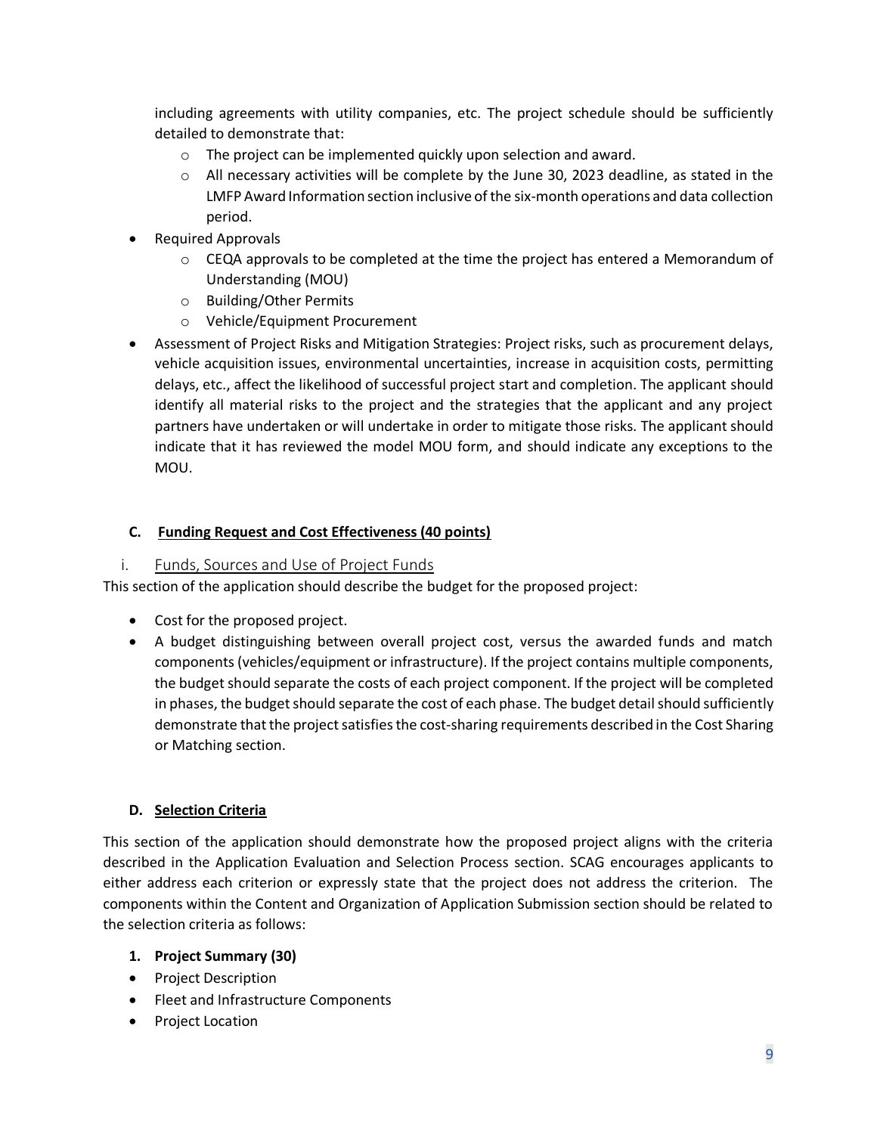including agreements with utility companies, etc. The project schedule should be sufficiently detailed to demonstrate that:

- o The project can be implemented quickly upon selection and award.
- $\circ$  All necessary activities will be complete by the June 30, 2023 deadline, as stated in the LMFP Award Information section inclusive of the six-month operations and data collection period.
- Required Approvals
	- $\circ$  CEQA approvals to be completed at the time the project has entered a Memorandum of Understanding (MOU)
	- o Building/Other Permits
	- o Vehicle/Equipment Procurement
- Assessment of Project Risks and Mitigation Strategies: Project risks, such as procurement delays, vehicle acquisition issues, environmental uncertainties, increase in acquisition costs, permitting delays, etc., affect the likelihood of successful project start and completion. The applicant should identify all material risks to the project and the strategies that the applicant and any project partners have undertaken or will undertake in order to mitigate those risks. The applicant should indicate that it has reviewed the model MOU form, and should indicate any exceptions to the MOU.

#### **C. Funding Request and Cost Effectiveness (40 points)**

#### <span id="page-8-0"></span>i. Funds, Sources and Use of Project Funds

This section of the application should describe the budget for the proposed project:

- Cost for the proposed project.
- A budget distinguishing between overall project cost, versus the awarded funds and match components (vehicles/equipment or infrastructure). If the project contains multiple components, the budget should separate the costs of each project component. If the project will be completed in phases, the budget should separate the cost of each phase. The budget detail should sufficiently demonstrate that the project satisfies the cost-sharing requirements described in the Cost Sharing or Matching section.

#### **D. Selection Criteria**

This section of the application should demonstrate how the proposed project aligns with the criteria described in the Application Evaluation and Selection Process section. SCAG encourages applicants to either address each criterion or expressly state that the project does not address the criterion. The components within the Content and Organization of Application Submission section should be related to the selection criteria as follows:

#### **1. Project Summary (30)**

- Project Description
- Fleet and Infrastructure Components
- Project Location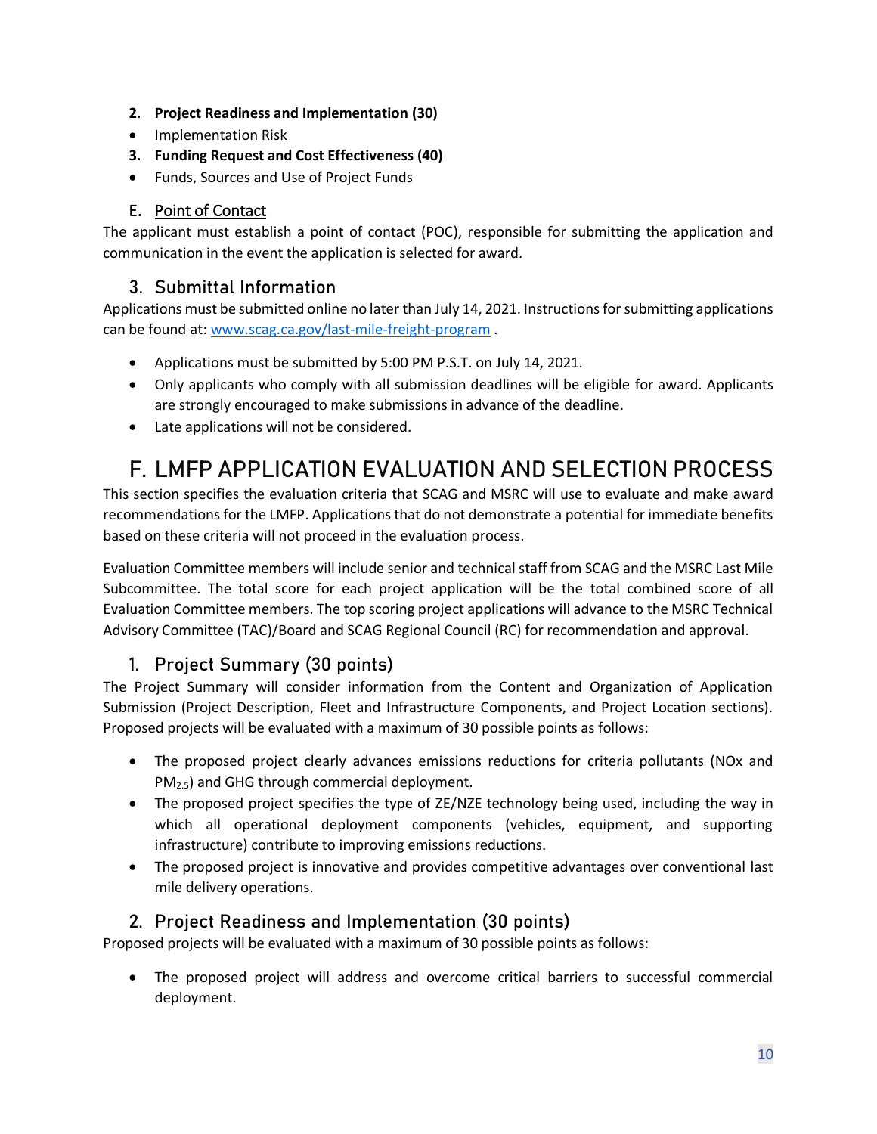- **2. Project Readiness and Implementation (30)**
- Implementation Risk
- **3. Funding Request and Cost Effectiveness (40)**
- Funds, Sources and Use of Project Funds

#### E. Point of Contact

<span id="page-9-0"></span>The applicant must establish a point of contact (POC), responsible for submitting the application and communication in the event the application is selected for award.

#### **3. Submittal Information**

<span id="page-9-1"></span>Applications must be submitted online no later than July 14, 2021. Instructions for submitting applications can be found at: [www.scag.ca.gov/last-mile-freight-program](http://www.scag.ca.gov/last-mile-freight-program) .

- Applications must be submitted by 5:00 PM P.S.T. on July 14, 2021.
- Only applicants who comply with all submission deadlines will be eligible for award. Applicants are strongly encouraged to make submissions in advance of the deadline.
- Late applications will not be considered.

# <span id="page-9-2"></span>**F. LMFP APPLICATION EVALUATION AND SELECTION PROCESS**

This section specifies the evaluation criteria that SCAG and MSRC will use to evaluate and make award recommendations for the LMFP. Applications that do not demonstrate a potential for immediate benefits based on these criteria will not proceed in the evaluation process.

Evaluation Committee members will include senior and technical staff from SCAG and the MSRC Last Mile Subcommittee. The total score for each project application will be the total combined score of all Evaluation Committee members. The top scoring project applications will advance to the MSRC Technical Advisory Committee (TAC)/Board and SCAG Regional Council (RC) for recommendation and approval.

#### **1. Project Summary (30 points)**

<span id="page-9-3"></span>The Project Summary will consider information from the Content and Organization of Application Submission (Project Description, Fleet and Infrastructure Components, and Project Location sections). Proposed projects will be evaluated with a maximum of 30 possible points as follows:

- The proposed project clearly advances emissions reductions for criteria pollutants (NOx and PM2.5) and GHG through commercial deployment.
- The proposed project specifies the type of ZE/NZE technology being used, including the way in which all operational deployment components (vehicles, equipment, and supporting infrastructure) contribute to improving emissions reductions.
- The proposed project is innovative and provides competitive advantages over conventional last mile delivery operations.

#### **2. Project Readiness and Implementation (30 points)**

<span id="page-9-4"></span>Proposed projects will be evaluated with a maximum of 30 possible points as follows:

• The proposed project will address and overcome critical barriers to successful commercial deployment.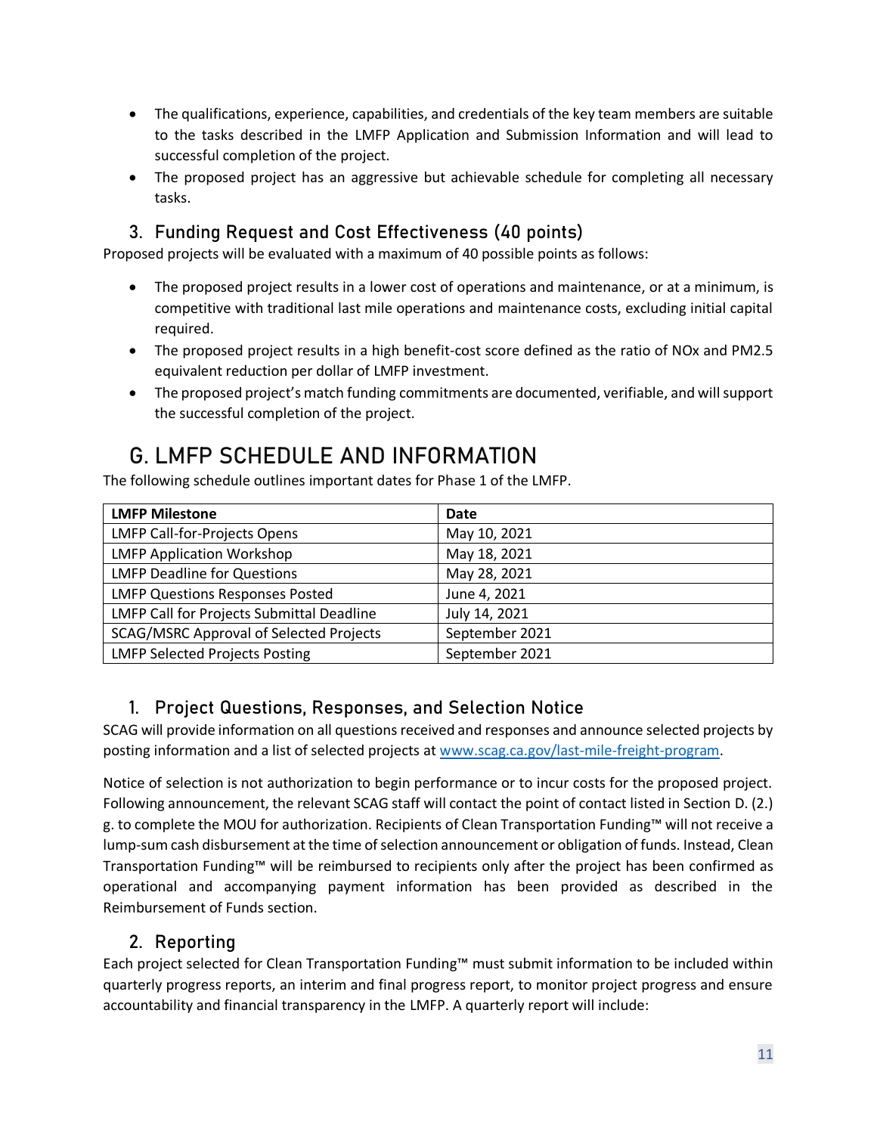- The qualifications, experience, capabilities, and credentials of the key team members are suitable to the tasks described in the LMFP Application and Submission Information and will lead to successful completion of the project.
- The proposed project has an aggressive but achievable schedule for completing all necessary tasks.

### **3. Funding Request and Cost Effectiveness (40 points)**

<span id="page-10-0"></span>Proposed projects will be evaluated with a maximum of 40 possible points as follows:

- The proposed project results in a lower cost of operations and maintenance, or at a minimum, is competitive with traditional last mile operations and maintenance costs, excluding initial capital required.
- The proposed project results in a high benefit-cost score defined as the ratio of NOx and PM2.5 equivalent reduction per dollar of LMFP investment.
- The proposed project's match funding commitments are documented, verifiable, and will support the successful completion of the project.

# <span id="page-10-1"></span>**G. LMFP SCHEDULE AND INFORMATION**

The following schedule outlines important dates for Phase 1 of the LMFP.

| <b>LMFP Milestone</b>                     | Date           |
|-------------------------------------------|----------------|
| LMFP Call-for-Projects Opens              | May 10, 2021   |
| <b>LMFP Application Workshop</b>          | May 18, 2021   |
| <b>LMFP Deadline for Questions</b>        | May 28, 2021   |
| <b>LMFP Questions Responses Posted</b>    | June 4, 2021   |
| LMFP Call for Projects Submittal Deadline | July 14, 2021  |
| SCAG/MSRC Approval of Selected Projects   | September 2021 |
| <b>LMFP Selected Projects Posting</b>     | September 2021 |

### **1. Project Questions, Responses, and Selection Notice**

<span id="page-10-2"></span>SCAG will provide information on all questions received and responses and announce selected projects by posting information and a list of selected projects at [www.scag.ca.gov/last-mile-freight-program.](http://www.scag.ca.gov/last-mile-freight-program)

Notice of selection is not authorization to begin performance or to incur costs for the proposed project. Following announcement, the relevant SCAG staff will contact the point of contact listed in Section D. (2.) g. to complete the MOU for authorization. Recipients of Clean Transportation Funding™ will not receive a lump-sum cash disbursement at the time of selection announcement or obligation of funds. Instead, Clean Transportation Funding™ will be reimbursed to recipients only after the project has been confirmed as operational and accompanying payment information has been provided as described in the Reimbursement of Funds section.

#### **2. Reporting**

<span id="page-10-3"></span>Each project selected for Clean Transportation Funding™ must submit information to be included within quarterly progress reports, an interim and final progress report, to monitor project progress and ensure accountability and financial transparency in the LMFP. A quarterly report will include: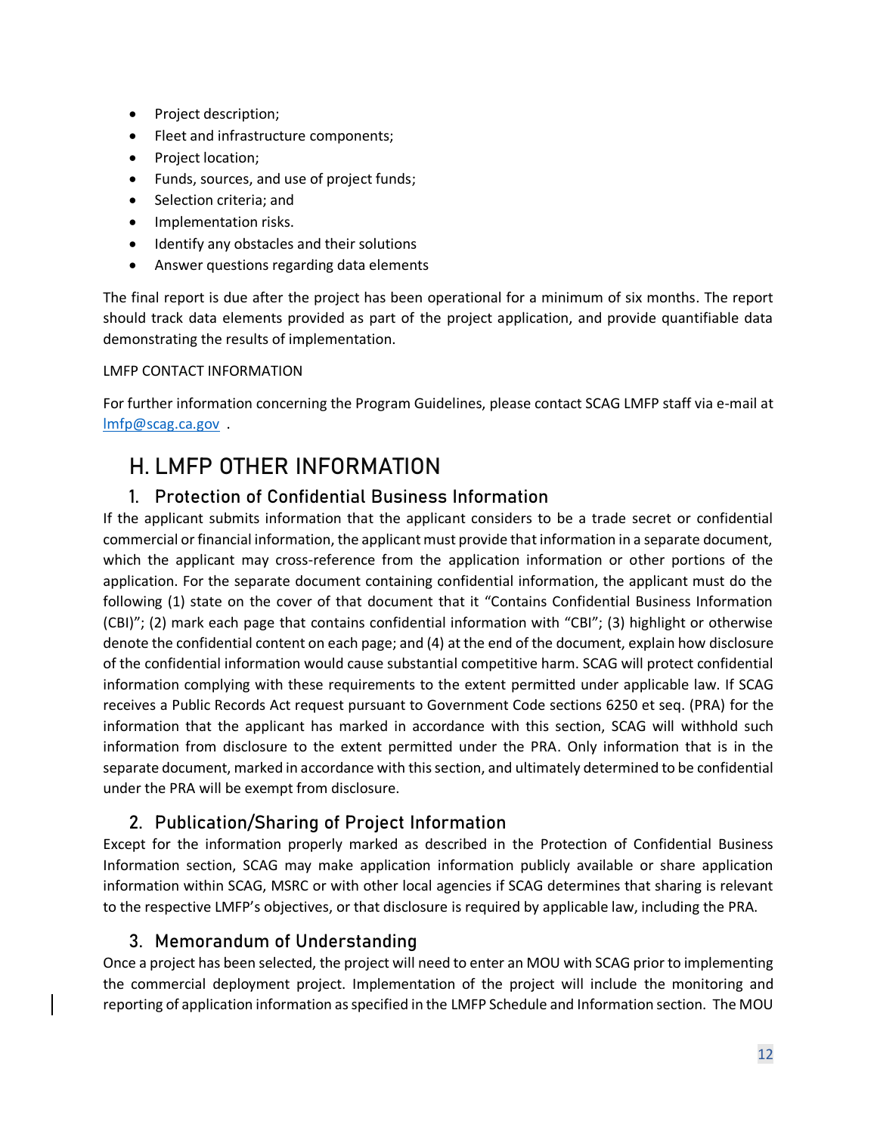- Project description;
- Fleet and infrastructure components;
- Project location;
- Funds, sources, and use of project funds;
- Selection criteria; and
- Implementation risks.
- Identify any obstacles and their solutions
- Answer questions regarding data elements

The final report is due after the project has been operational for a minimum of six months. The report should track data elements provided as part of the project application, and provide quantifiable data demonstrating the results of implementation.

#### LMFP CONTACT INFORMATION

For further information concerning the Program Guidelines, please contact SCAG LMFP staff via e-mail at [lmfp@scag.ca.gov](mailto:lmfp@scag.ca.gov) .

# <span id="page-11-0"></span>**H. LMFP OTHER INFORMATION**

#### **1. Protection of Confidential Business Information**

<span id="page-11-1"></span>If the applicant submits information that the applicant considers to be a trade secret or confidential commercial or financial information, the applicant must provide that information in a separate document, which the applicant may cross-reference from the application information or other portions of the application. For the separate document containing confidential information, the applicant must do the following (1) state on the cover of that document that it "Contains Confidential Business Information (CBI)"; (2) mark each page that contains confidential information with "CBI"; (3) highlight or otherwise denote the confidential content on each page; and (4) at the end of the document, explain how disclosure of the confidential information would cause substantial competitive harm. SCAG will protect confidential information complying with these requirements to the extent permitted under applicable law. If SCAG receives a Public Records Act request pursuant to Government Code sections 6250 et seq. (PRA) for the information that the applicant has marked in accordance with this section, SCAG will withhold such information from disclosure to the extent permitted under the PRA. Only information that is in the separate document, marked in accordance with this section, and ultimately determined to be confidential under the PRA will be exempt from disclosure.

#### **2. Publication/Sharing of Project Information**

<span id="page-11-2"></span>Except for the information properly marked as described in the Protection of Confidential Business Information section, SCAG may make application information publicly available or share application information within SCAG, MSRC or with other local agencies if SCAG determines that sharing is relevant to the respective LMFP's objectives, or that disclosure is required by applicable law, including the PRA.

#### **3. Memorandum of Understanding**

<span id="page-11-3"></span>Once a project has been selected, the project will need to enter an MOU with SCAG prior to implementing the commercial deployment project. Implementation of the project will include the monitoring and reporting of application information as specified in the LMFP Schedule and Information section. The MOU